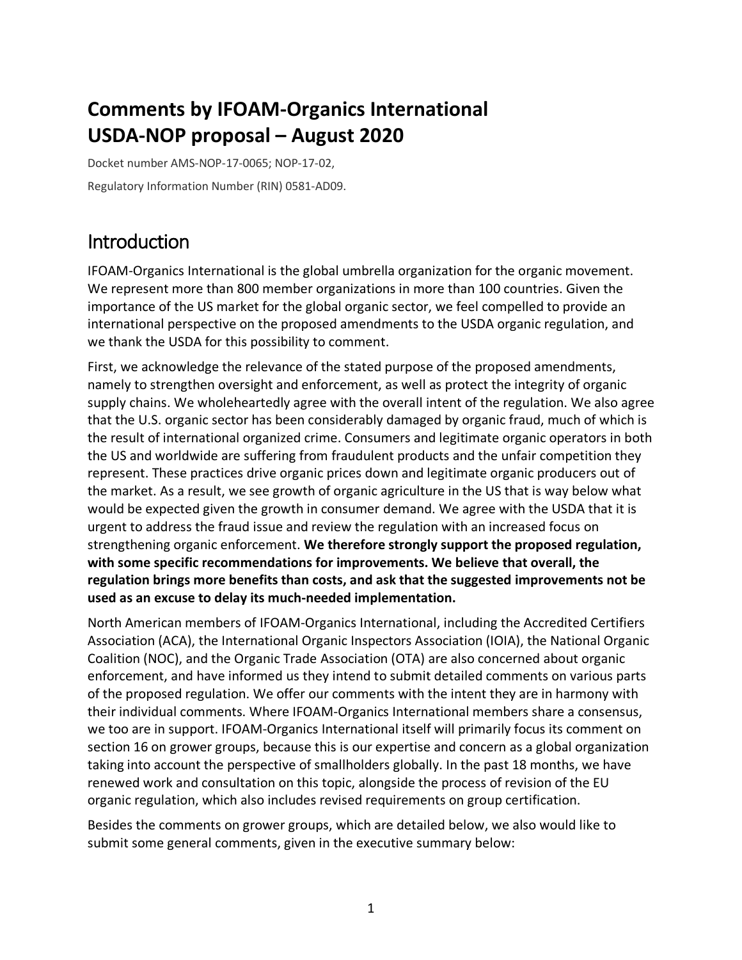# **Comments by IFOAM-Organics International USDA-NOP proposal – August 2020**

Docket number AMS-NOP-17-0065; NOP-17-02, Regulatory Information Number (RIN) 0581-AD09.

## Introduction

IFOAM-Organics International is the global umbrella organization for the organic movement. We represent more than 800 member organizations in more than 100 countries. Given the importance of the US market for the global organic sector, we feel compelled to provide an international perspective on the proposed amendments to the USDA organic regulation, and we thank the USDA for this possibility to comment.

First, we acknowledge the relevance of the stated purpose of the proposed amendments, namely to strengthen oversight and enforcement, as well as protect the integrity of organic supply chains. We wholeheartedly agree with the overall intent of the regulation. We also agree that the U.S. organic sector has been considerably damaged by organic fraud, much of which is the result of international organized crime. Consumers and legitimate organic operators in both the US and worldwide are suffering from fraudulent products and the unfair competition they represent. These practices drive organic prices down and legitimate organic producers out of the market. As a result, we see growth of organic agriculture in the US that is way below what would be expected given the growth in consumer demand. We agree with the USDA that it is urgent to address the fraud issue and review the regulation with an increased focus on strengthening organic enforcement. **We therefore strongly support the proposed regulation, with some specific recommendations for improvements. We believe that overall, the regulation brings more benefits than costs, and ask that the suggested improvements not be used as an excuse to delay its much-needed implementation.**

North American members of IFOAM-Organics International, including the Accredited Certifiers Association (ACA), the International Organic Inspectors Association (IOIA), the National Organic Coalition (NOC), and the Organic Trade Association (OTA) are also concerned about organic enforcement, and have informed us they intend to submit detailed comments on various parts of the proposed regulation. We offer our comments with the intent they are in harmony with their individual comments. Where IFOAM-Organics International members share a consensus, we too are in support. IFOAM-Organics International itself will primarily focus its comment on section 16 on grower groups, because this is our expertise and concern as a global organization taking into account the perspective of smallholders globally. In the past 18 months, we have renewed work and consultation on this topic, alongside the process of revision of the EU organic regulation, which also includes revised requirements on group certification.

Besides the comments on grower groups, which are detailed below, we also would like to submit some general comments, given in the executive summary below: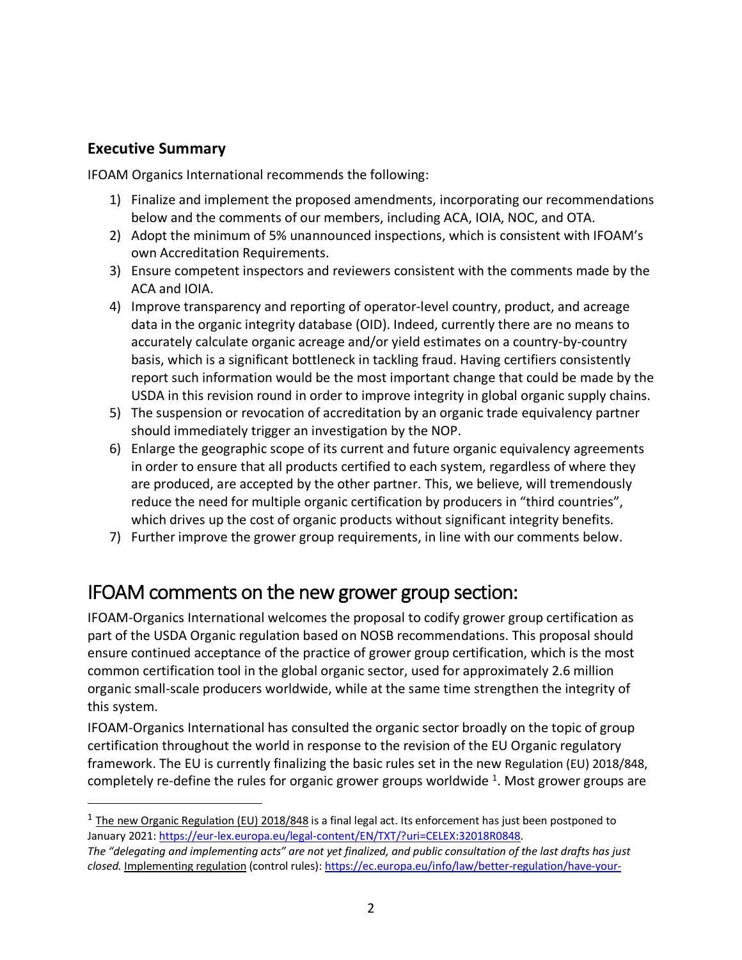#### **Executive Summary**

IFOAM Organics International recommends the following:

- 1) Finalize and implement the proposed amendments, incorporating our recommendations below and the comments of our members, including ACA, IOIA, NOC, and OTA.
- 2) Adopt the minimum of 5% unannounced inspections, which is consistent with IFOAM's own Accreditation Requirements.
- 3) Ensure competent inspectors and reviewers consistent with the comments made by the ACA and IOIA.
- 4) Improve transparency and reporting of operator-level country, product, and acreage data in the organic integrity database (OID). Indeed, currently there are no means to accurately calculate organic acreage and/or yield estimates on a country-by-country basis, which is a significant bottleneck in tackling fraud. Having certifiers consistently report such information would be the most important change that could be made by the USDA in this revision round in order to improve integrity in global organic supply chains.
- 5) The suspension or revocation of accreditation by an organic trade equivalency partner should immediately trigger an investigation by the NOP.
- 6) Enlarge the geographic scope of its current and future organic equivalency agreements in order to ensure that all products certified to each system, regardless of where they are produced, are accepted by the other partner. This, we believe, will tremendously reduce the need for multiple organic certification by producers in "third countries", which drives up the cost of organic products without significant integrity benefits.
- 7) Further improve the grower group requirements, in line with our comments below.

## IFOAM comments on the new grower group section:

IFOAM-Organics International welcomes the proposal to codify grower group certification as part of the USDA Organic regulation based on NOSB recommendations. This proposal should ensure continued acceptance of the practice of grower group certification, which is the most common certification tool in the global organic sector, used for approximately 2.6 million organic small-scale producers worldwide, while at the same time strengthen the integrity of this system.

IFOAM-Organics International has consulted the organic sector broadly on the topic of group certification throughout the world in response to the revision of the EU Organic regulatory framework. The EU is currently finalizing the basic rules set in the new Regulation (EU) 2018/848, completely re-define the rules for organic grower groups worldwide  $1$ . Most grower groups are

 $1$  The new Organic Regulation (EU) 2018/848 is a final legal act. Its enforcement has just been postponed to January 2021: https://eur-lex.europa.eu/legal-content/EN/TXT/?uri=CELEX:32018R0848.

*The "delegating and implementing acts" are not yet finalized, and public consultation of the last drafts has just closed.* Implementing regulation (control rules): https://ec.europa.eu/info/law/better-regulation/have-your-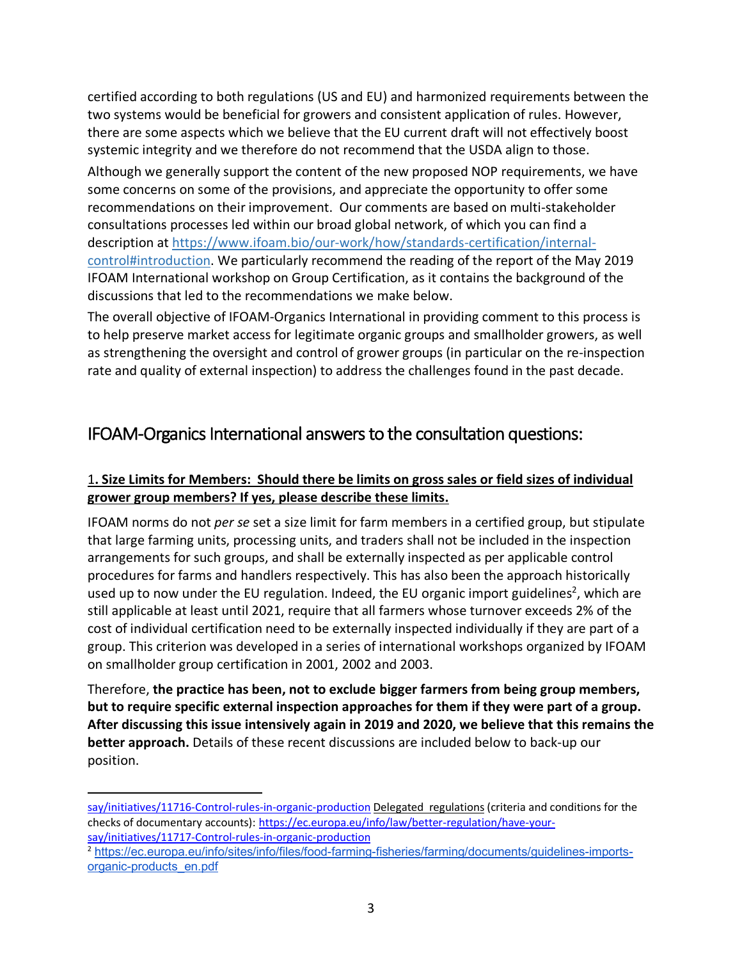certified according to both regulations (US and EU) and harmonized requirements between the two systems would be beneficial for growers and consistent application of rules. However, there are some aspects which we believe that the EU current draft will not effectively boost systemic integrity and we therefore do not recommend that the USDA align to those.

Although we generally support the content of the new proposed NOP requirements, we have some concerns on some of the provisions, and appreciate the opportunity to offer some recommendations on their improvement. Our comments are based on multi-stakeholder consultations processes led within our broad global network, of which you can find a description at https://www.ifoam.bio/our-work/how/standards-certification/internalcontrol#introduction. We particularly recommend the reading of the report of the May 2019 IFOAM International workshop on Group Certification, as it contains the background of the discussions that led to the recommendations we make below.

The overall objective of IFOAM-Organics International in providing comment to this process is to help preserve market access for legitimate organic groups and smallholder growers, as well as strengthening the oversight and control of grower groups (in particular on the re-inspection rate and quality of external inspection) to address the challenges found in the past decade.

### IFOAM-Organics International answers to the consultation questions:

#### 1**. Size Limits for Members: Should there be limits on gross sales or field sizes of individual grower group members? If yes, please describe these limits.**

IFOAM norms do not *per se* set a size limit for farm members in a certified group, but stipulate that large farming units, processing units, and traders shall not be included in the inspection arrangements for such groups, and shall be externally inspected as per applicable control procedures for farms and handlers respectively. This has also been the approach historically used up to now under the EU regulation. Indeed, the EU organic import guidelines<sup>2</sup>, which are still applicable at least until 2021, require that all farmers whose turnover exceeds 2% of the cost of individual certification need to be externally inspected individually if they are part of a group. This criterion was developed in a series of international workshops organized by IFOAM on smallholder group certification in 2001, 2002 and 2003.

Therefore, **the practice has been, not to exclude bigger farmers from being group members, but to require specific external inspection approaches for them if they were part of a group. After discussing this issue intensively again in 2019 and 2020, we believe that this remains the better approach.** Details of these recent discussions are included below to back-up our position.

<u>.</u>

say/initiatives/11716-Control-rules-in-organic-production Delegated regulations (criteria and conditions for the checks of documentary accounts): https://ec.europa.eu/info/law/better-regulation/have-yoursay/initiatives/11717-Control-rules-in-organic-production

<sup>2</sup> https://ec.europa.eu/info/sites/info/files/food-farming-fisheries/farming/documents/guidelines-importsorganic-products\_en.pdf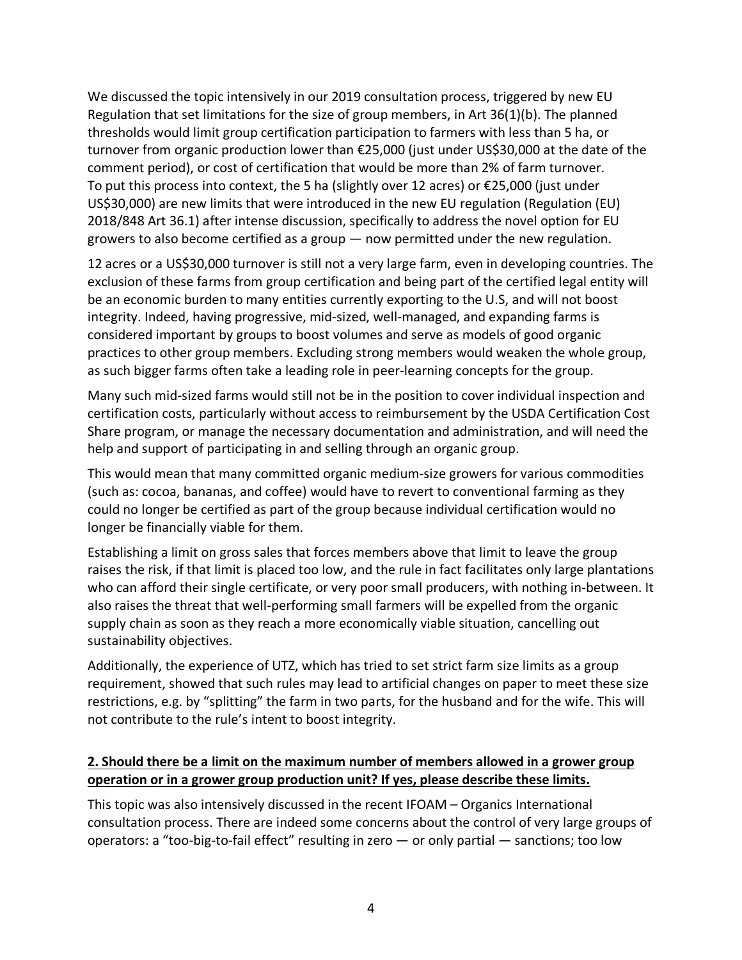We discussed the topic intensively in our 2019 consultation process, triggered by new EU Regulation that set limitations for the size of group members, in Art 36(1)(b). The planned thresholds would limit group certification participation to farmers with less than 5 ha, or turnover from organic production lower than €25,000 (just under US\$30,000 at the date of the comment period), or cost of certification that would be more than 2% of farm turnover. To put this process into context, the 5 ha (slightly over 12 acres) or  $\epsilon$ 25,000 (just under US\$30,000) are new limits that were introduced in the new EU regulation (Regulation (EU) 2018/848 Art 36.1) after intense discussion, specifically to address the novel option for EU growers to also become certified as a group — now permitted under the new regulation.

12 acres or a US\$30,000 turnover is still not a very large farm, even in developing countries. The exclusion of these farms from group certification and being part of the certified legal entity will be an economic burden to many entities currently exporting to the U.S, and will not boost integrity. Indeed, having progressive, mid-sized, well-managed, and expanding farms is considered important by groups to boost volumes and serve as models of good organic practices to other group members. Excluding strong members would weaken the whole group, as such bigger farms often take a leading role in peer-learning concepts for the group.

Many such mid-sized farms would still not be in the position to cover individual inspection and certification costs, particularly without access to reimbursement by the USDA Certification Cost Share program, or manage the necessary documentation and administration, and will need the help and support of participating in and selling through an organic group.

This would mean that many committed organic medium-size growers for various commodities (such as: cocoa, bananas, and coffee) would have to revert to conventional farming as they could no longer be certified as part of the group because individual certification would no longer be financially viable for them.

Establishing a limit on gross sales that forces members above that limit to leave the group raises the risk, if that limit is placed too low, and the rule in fact facilitates only large plantations who can afford their single certificate, or very poor small producers, with nothing in-between. It also raises the threat that well-performing small farmers will be expelled from the organic supply chain as soon as they reach a more economically viable situation, cancelling out sustainability objectives.

Additionally, the experience of UTZ, which has tried to set strict farm size limits as a group requirement, showed that such rules may lead to artificial changes on paper to meet these size restrictions, e.g. by "splitting" the farm in two parts, for the husband and for the wife. This will not contribute to the rule's intent to boost integrity.

#### **2. Should there be a limit on the maximum number of members allowed in a grower group operation or in a grower group production unit? If yes, please describe these limits.**

This topic was also intensively discussed in the recent IFOAM – Organics International consultation process. There are indeed some concerns about the control of very large groups of operators: a "too-big-to-fail effect" resulting in zero — or only partial — sanctions; too low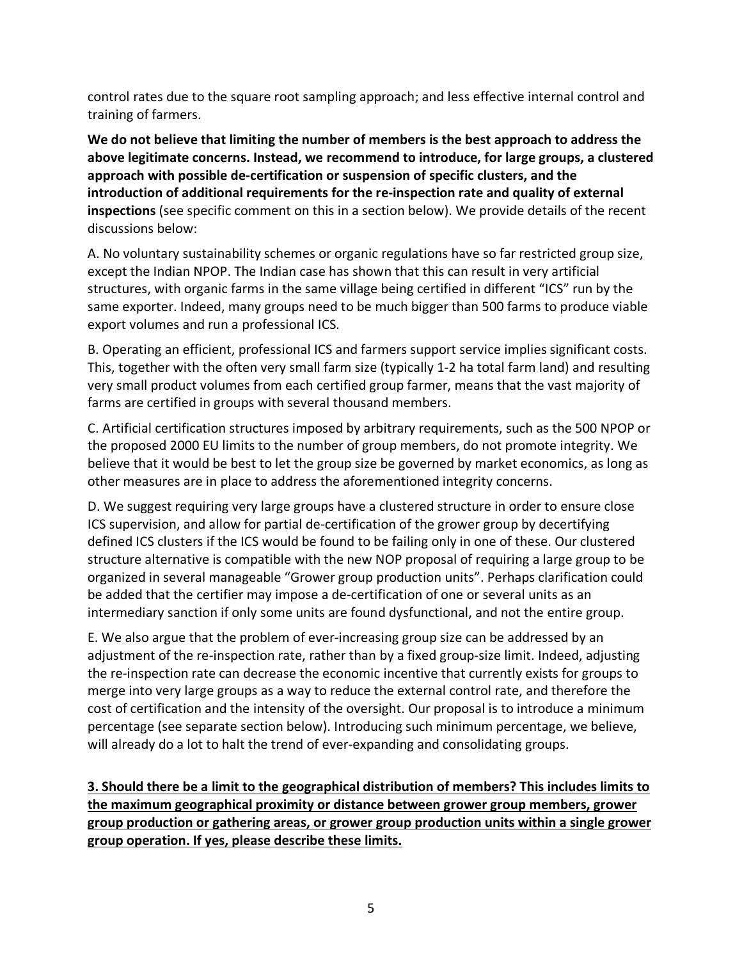control rates due to the square root sampling approach; and less effective internal control and training of farmers.

**We do not believe that limiting the number of members is the best approach to address the above legitimate concerns. Instead, we recommend to introduce, for large groups, a clustered approach with possible de-certification or suspension of specific clusters, and the introduction of additional requirements for the re-inspection rate and quality of external inspections** (see specific comment on this in a section below). We provide details of the recent discussions below:

A. No voluntary sustainability schemes or organic regulations have so far restricted group size, except the Indian NPOP. The Indian case has shown that this can result in very artificial structures, with organic farms in the same village being certified in different "ICS" run by the same exporter. Indeed, many groups need to be much bigger than 500 farms to produce viable export volumes and run a professional ICS.

B. Operating an efficient, professional ICS and farmers support service implies significant costs. This, together with the often very small farm size (typically 1-2 ha total farm land) and resulting very small product volumes from each certified group farmer, means that the vast majority of farms are certified in groups with several thousand members.

C. Artificial certification structures imposed by arbitrary requirements, such as the 500 NPOP or the proposed 2000 EU limits to the number of group members, do not promote integrity. We believe that it would be best to let the group size be governed by market economics, as long as other measures are in place to address the aforementioned integrity concerns.

D. We suggest requiring very large groups have a clustered structure in order to ensure close ICS supervision, and allow for partial de-certification of the grower group by decertifying defined ICS clusters if the ICS would be found to be failing only in one of these. Our clustered structure alternative is compatible with the new NOP proposal of requiring a large group to be organized in several manageable "Grower group production units". Perhaps clarification could be added that the certifier may impose a de-certification of one or several units as an intermediary sanction if only some units are found dysfunctional, and not the entire group.

E. We also argue that the problem of ever-increasing group size can be addressed by an adjustment of the re-inspection rate, rather than by a fixed group-size limit. Indeed, adjusting the re-inspection rate can decrease the economic incentive that currently exists for groups to merge into very large groups as a way to reduce the external control rate, and therefore the cost of certification and the intensity of the oversight. Our proposal is to introduce a minimum percentage (see separate section below). Introducing such minimum percentage, we believe, will already do a lot to halt the trend of ever-expanding and consolidating groups.

**3. Should there be a limit to the geographical distribution of members? This includes limits to the maximum geographical proximity or distance between grower group members, grower group production or gathering areas, or grower group production units within a single grower group operation. If yes, please describe these limits.**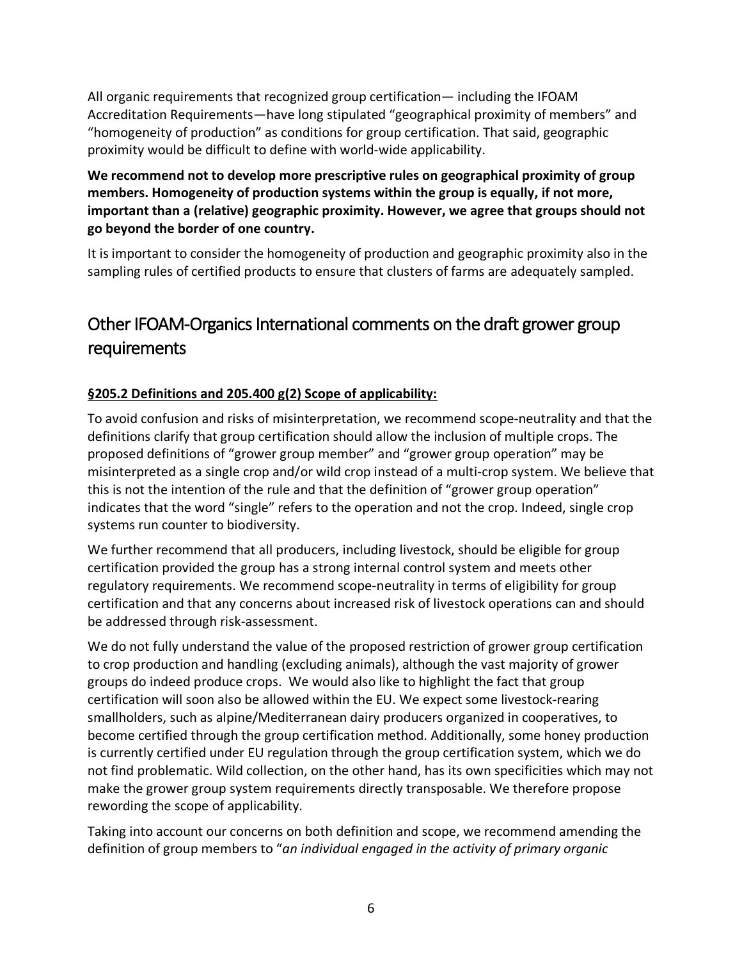All organic requirements that recognized group certification— including the IFOAM Accreditation Requirements—have long stipulated "geographical proximity of members" and "homogeneity of production" as conditions for group certification. That said, geographic proximity would be difficult to define with world-wide applicability.

**We recommend not to develop more prescriptive rules on geographical proximity of group members. Homogeneity of production systems within the group is equally, if not more, important than a (relative) geographic proximity. However, we agree that groups should not go beyond the border of one country.**

It is important to consider the homogeneity of production and geographic proximity also in the sampling rules of certified products to ensure that clusters of farms are adequately sampled.

## Other IFOAM-Organics International comments on the draft grower group requirements

#### **§205.2 Definitions and 205.400 g(2) Scope of applicability:**

To avoid confusion and risks of misinterpretation, we recommend scope-neutrality and that the definitions clarify that group certification should allow the inclusion of multiple crops. The proposed definitions of "grower group member" and "grower group operation" may be misinterpreted as a single crop and/or wild crop instead of a multi-crop system. We believe that this is not the intention of the rule and that the definition of "grower group operation" indicates that the word "single" refers to the operation and not the crop. Indeed, single crop systems run counter to biodiversity.

We further recommend that all producers, including livestock, should be eligible for group certification provided the group has a strong internal control system and meets other regulatory requirements. We recommend scope-neutrality in terms of eligibility for group certification and that any concerns about increased risk of livestock operations can and should be addressed through risk-assessment.

We do not fully understand the value of the proposed restriction of grower group certification to crop production and handling (excluding animals), although the vast majority of grower groups do indeed produce crops. We would also like to highlight the fact that group certification will soon also be allowed within the EU. We expect some livestock-rearing smallholders, such as alpine/Mediterranean dairy producers organized in cooperatives, to become certified through the group certification method. Additionally, some honey production is currently certified under EU regulation through the group certification system, which we do not find problematic. Wild collection, on the other hand, has its own specificities which may not make the grower group system requirements directly transposable. We therefore propose rewording the scope of applicability.

Taking into account our concerns on both definition and scope, we recommend amending the definition of group members to "*an individual engaged in the activity of primary organic*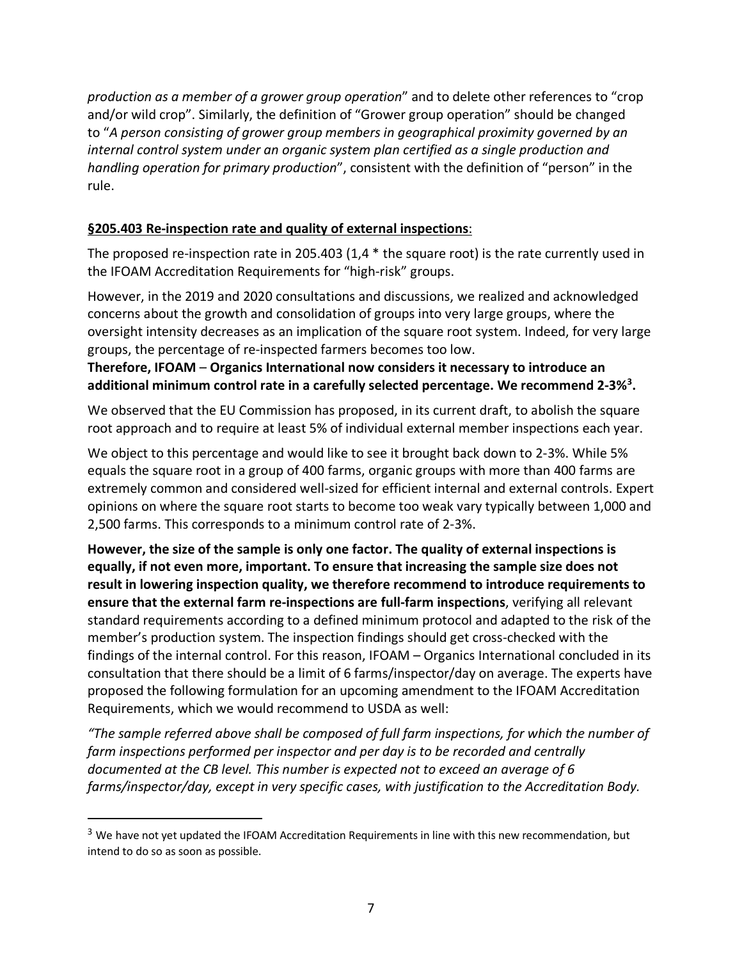*production as a member of a grower group operation*" and to delete other references to "crop and/or wild crop". Similarly, the definition of "Grower group operation" should be changed to "*A person consisting of grower group members in geographical proximity governed by an internal control system under an organic system plan certified as a single production and handling operation for primary production*", consistent with the definition of "person" in the rule.

#### **§205.403 Re-inspection rate and quality of external inspections**:

The proposed re-inspection rate in 205.403 (1,4 \* the square root) is the rate currently used in the IFOAM Accreditation Requirements for "high-risk" groups.

However, in the 2019 and 2020 consultations and discussions, we realized and acknowledged concerns about the growth and consolidation of groups into very large groups, where the oversight intensity decreases as an implication of the square root system. Indeed, for very large groups, the percentage of re-inspected farmers becomes too low.

#### **Therefore, IFOAM** – **Organics International now considers it necessary to introduce an additional minimum control rate in a carefully selected percentage. We recommend 2-3%3 .**

We observed that the EU Commission has proposed, in its current draft, to abolish the square root approach and to require at least 5% of individual external member inspections each year.

We object to this percentage and would like to see it brought back down to 2-3%. While 5% equals the square root in a group of 400 farms, organic groups with more than 400 farms are extremely common and considered well-sized for efficient internal and external controls. Expert opinions on where the square root starts to become too weak vary typically between 1,000 and 2,500 farms. This corresponds to a minimum control rate of 2-3%.

**However, the size of the sample is only one factor. The quality of external inspections is equally, if not even more, important. To ensure that increasing the sample size does not result in lowering inspection quality, we therefore recommend to introduce requirements to ensure that the external farm re-inspections are full-farm inspections**, verifying all relevant standard requirements according to a defined minimum protocol and adapted to the risk of the member's production system. The inspection findings should get cross-checked with the findings of the internal control. For this reason, IFOAM – Organics International concluded in its consultation that there should be a limit of 6 farms/inspector/day on average. The experts have proposed the following formulation for an upcoming amendment to the IFOAM Accreditation Requirements, which we would recommend to USDA as well:

*"The sample referred above shall be composed of full farm inspections, for which the number of farm inspections performed per inspector and per day is to be recorded and centrally documented at the CB level. This number is expected not to exceed an average of 6 farms/inspector/day, except in very specific cases, with justification to the Accreditation Body.* 

<sup>&</sup>lt;sup>3</sup> We have not yet updated the IFOAM Accreditation Requirements in line with this new recommendation, but intend to do so as soon as possible.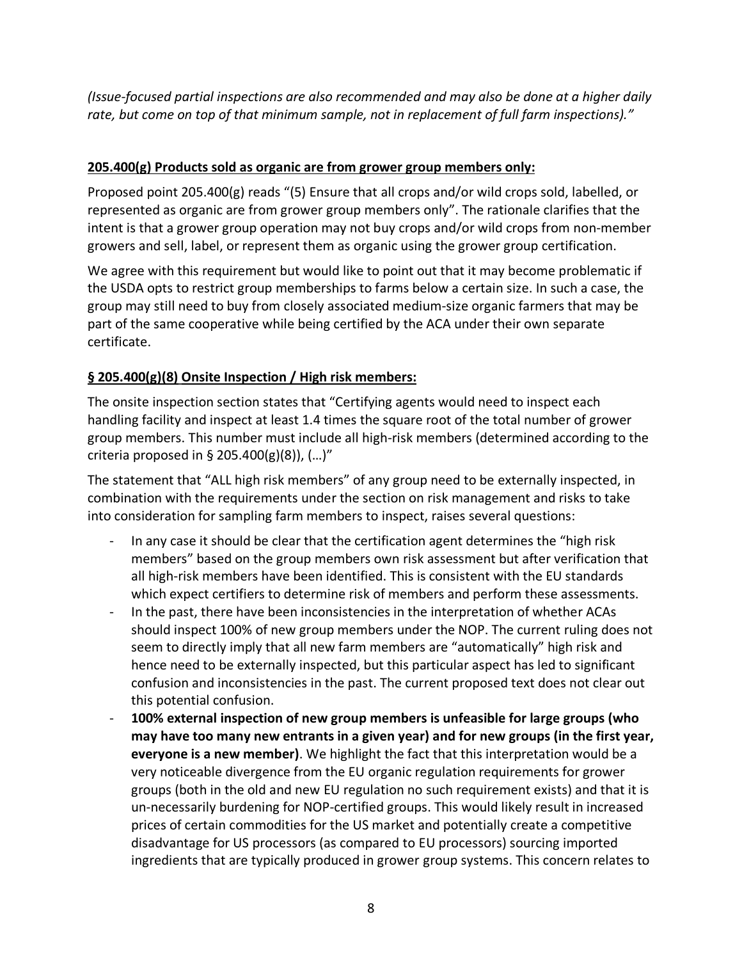*(Issue-focused partial inspections are also recommended and may also be done at a higher daily rate, but come on top of that minimum sample, not in replacement of full farm inspections)."* 

#### **205.400(g) Products sold as organic are from grower group members only:**

Proposed point 205.400(g) reads "(5) Ensure that all crops and/or wild crops sold, labelled, or represented as organic are from grower group members only". The rationale clarifies that the intent is that a grower group operation may not buy crops and/or wild crops from non-member growers and sell, label, or represent them as organic using the grower group certification.

We agree with this requirement but would like to point out that it may become problematic if the USDA opts to restrict group memberships to farms below a certain size. In such a case, the group may still need to buy from closely associated medium-size organic farmers that may be part of the same cooperative while being certified by the ACA under their own separate certificate.

#### **§ 205.400(g)(8) Onsite Inspection / High risk members:**

The onsite inspection section states that "Certifying agents would need to inspect each handling facility and inspect at least 1.4 times the square root of the total number of grower group members. This number must include all high-risk members (determined according to the criteria proposed in § 205.400(g)(8)),  $(...)$ "

The statement that "ALL high risk members" of any group need to be externally inspected, in combination with the requirements under the section on risk management and risks to take into consideration for sampling farm members to inspect, raises several questions:

- In any case it should be clear that the certification agent determines the "high risk" members" based on the group members own risk assessment but after verification that all high-risk members have been identified. This is consistent with the EU standards which expect certifiers to determine risk of members and perform these assessments.
- In the past, there have been inconsistencies in the interpretation of whether ACAs should inspect 100% of new group members under the NOP. The current ruling does not seem to directly imply that all new farm members are "automatically" high risk and hence need to be externally inspected, but this particular aspect has led to significant confusion and inconsistencies in the past. The current proposed text does not clear out this potential confusion.
- **100% external inspection of new group members is unfeasible for large groups (who may have too many new entrants in a given year) and for new groups (in the first year, everyone is a new member)**. We highlight the fact that this interpretation would be a very noticeable divergence from the EU organic regulation requirements for grower groups (both in the old and new EU regulation no such requirement exists) and that it is un-necessarily burdening for NOP-certified groups. This would likely result in increased prices of certain commodities for the US market and potentially create a competitive disadvantage for US processors (as compared to EU processors) sourcing imported ingredients that are typically produced in grower group systems. This concern relates to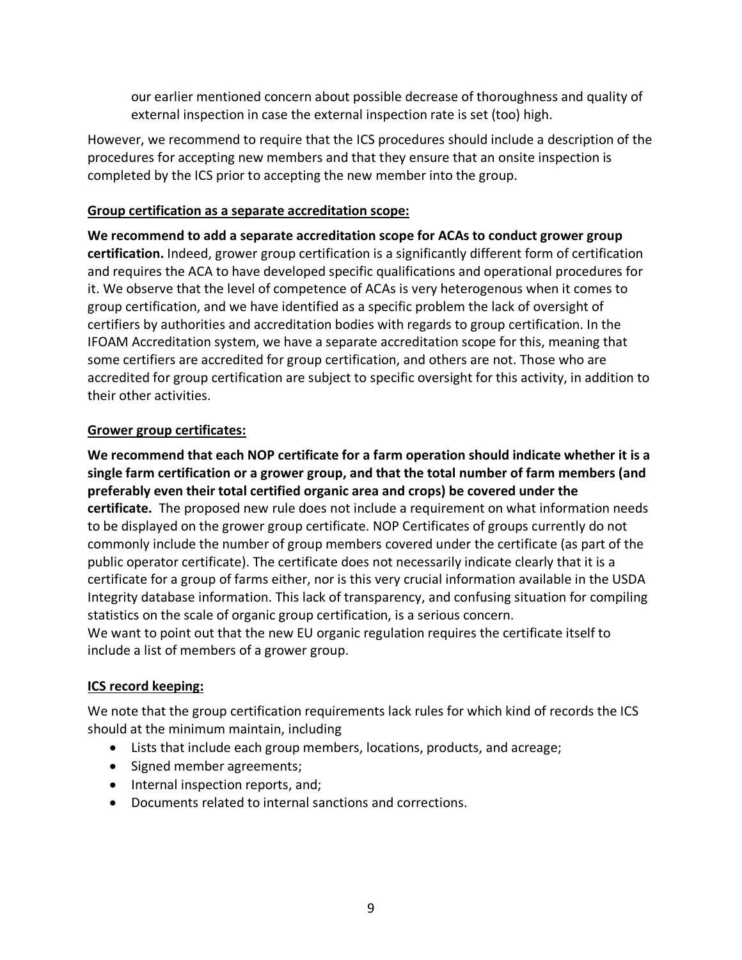our earlier mentioned concern about possible decrease of thoroughness and quality of external inspection in case the external inspection rate is set (too) high.

However, we recommend to require that the ICS procedures should include a description of the procedures for accepting new members and that they ensure that an onsite inspection is completed by the ICS prior to accepting the new member into the group.

#### **Group certification as a separate accreditation scope:**

**We recommend to add a separate accreditation scope for ACAs to conduct grower group certification.** Indeed, grower group certification is a significantly different form of certification and requires the ACA to have developed specific qualifications and operational procedures for it. We observe that the level of competence of ACAs is very heterogenous when it comes to group certification, and we have identified as a specific problem the lack of oversight of certifiers by authorities and accreditation bodies with regards to group certification. In the IFOAM Accreditation system, we have a separate accreditation scope for this, meaning that some certifiers are accredited for group certification, and others are not. Those who are accredited for group certification are subject to specific oversight for this activity, in addition to their other activities.

#### **Grower group certificates:**

**We recommend that each NOP certificate for a farm operation should indicate whether it is a single farm certification or a grower group, and that the total number of farm members (and preferably even their total certified organic area and crops) be covered under the certificate.** The proposed new rule does not include a requirement on what information needs to be displayed on the grower group certificate. NOP Certificates of groups currently do not commonly include the number of group members covered under the certificate (as part of the public operator certificate). The certificate does not necessarily indicate clearly that it is a certificate for a group of farms either, nor is this very crucial information available in the USDA Integrity database information. This lack of transparency, and confusing situation for compiling statistics on the scale of organic group certification, is a serious concern. We want to point out that the new EU organic regulation requires the certificate itself to include a list of members of a grower group.

#### **ICS record keeping:**

We note that the group certification requirements lack rules for which kind of records the ICS should at the minimum maintain, including

- Lists that include each group members, locations, products, and acreage;
- Signed member agreements;
- Internal inspection reports, and;
- Documents related to internal sanctions and corrections.